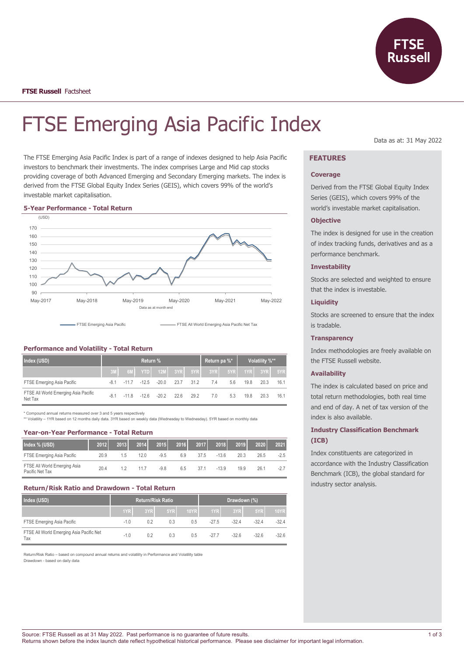

# FTSE Emerging Asia Pacific Index

The FTSE Emerging Asia Pacific Index is part of a range of indexes designed to help Asia Pacific investors to benchmark their investments. The index comprises Large and Mid cap stocks providing coverage of both Advanced Emerging and Secondary Emerging markets. The index is derived from the FTSE Global Equity Index Series (GEIS), which covers 99% of the world's investable market capitalisation.

#### **5-Year Performance - Total Return**



| .                                               |          |         |         |             |      |      |              |     |                |           |      |
|-------------------------------------------------|----------|---------|---------|-------------|------|------|--------------|-----|----------------|-----------|------|
| Index (USD)                                     | Return % |         |         |             |      |      | Return pa %* |     | Volatility %** |           |      |
|                                                 |          | 6M      |         | YTD 12M 3YR |      | 5YR  | 3YR          | 5YR |                | 1YRL 3YRL | 5YR  |
| FTSE Emerging Asia Pacific                      | $-8.1$   | $-11.7$ | $-12.5$ | $-20.0$     | 23.7 | 31.2 | 7.4          | 5.6 | 19.8           | 20.3      | 16.1 |
| FTSE All World Emerging Asia Pacific<br>Net Tax | $-8.1$   | $-118$  | $-126$  | $-202$      | 226  | 29.2 | 7.0          | 5.3 | 19.8           | 20.3      | 16.1 |

\* Compound annual returns measured over 3 and 5 years respectively

\*\* Volatility - 1YR based on 12 months daily data. 3YR based on weekly data (Wednesday to Wednesday). 5YR based on monthly data

#### **Year-on-Year Performance - Total Return**

**Performance and Volatility - Total Return**

| Index % (USD)                                   | 2012 | 2013 | 2014 | 2015   | 2016 | 2017 | 2018    | 2019 | 2020 | 2021   |
|-------------------------------------------------|------|------|------|--------|------|------|---------|------|------|--------|
| FTSE Emerging Asia Pacific                      | 20.9 | 1.5  | 12.0 | $-9.5$ | 6.9  | 37.5 | $-136$  | 20.3 | 26.5 | $-2.5$ |
| FTSE All World Emerging Asia<br>Pacific Net Tax | 20.4 |      | 11.7 | $-9.8$ | 6.5  | 37.1 | $-13.9$ | 19.9 | 26.1 | $-2.7$ |

#### **Return/Risk Ratio and Drawdown - Total Return**

| Index (USD)                                     | <b>Return/Risk Ratio</b> |     |     |      | Drawdown (%) |         |                   |         |
|-------------------------------------------------|--------------------------|-----|-----|------|--------------|---------|-------------------|---------|
|                                                 | 1YR                      | 3YR | 5YR | 10YR | 1YR L        | 3YR     | 5YRI <sup>'</sup> | 10YR.   |
| FTSE Emerging Asia Pacific                      | $-1.0$                   | 0.2 | 0.3 | 0.5  | $-27.5$      | $-32.4$ | $-324$            | $-32.4$ |
| FTSE All World Emerging Asia Pacific Net<br>Tax | $-1.0$                   | 0.2 | 0.3 | 0.5  | $-277$       | $-32.6$ | $-32.6$           | $-32.6$ |

Return/Risk Ratio – based on compound annual returns and volatility in Performance and Volatility table Drawdown - based on daily data

Data as at: 31 May 2022

# **FEATURES**

#### **Coverage**

Derived from the FTSE Global Equity Index Series (GEIS), which covers 99% of the world's investable market capitalisation.

## **Objective**

The index is designed for use in the creation of index tracking funds, derivatives and as a performance benchmark.

## **Investability**

Stocks are selected and weighted to ensure that the index is investable.

# **Liquidity**

Stocks are screened to ensure that the index is tradable.

#### **Transparency**

Index methodologies are freely available on the FTSE Russell website.

#### **Availability**

The index is calculated based on price and total return methodologies, both real time and end of day. A net of tax version of the index is also available.

# **Industry Classification Benchmark (ICB)**

Index constituents are categorized in accordance with the Industry Classification Benchmark (ICB), the global standard for industry sector analysis.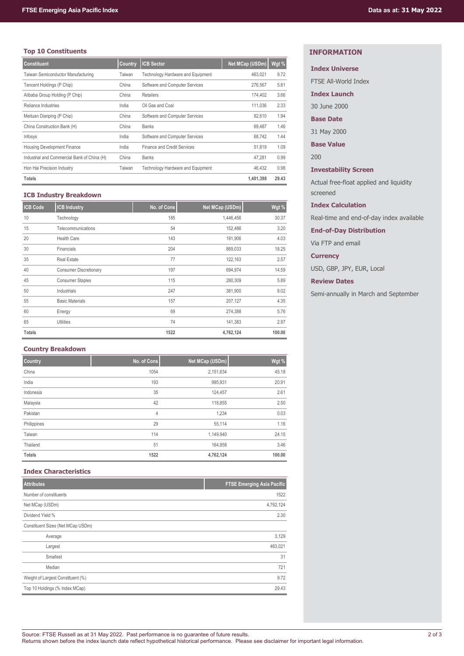# **Top 10 Constituents**

| <b>Constituent</b>                          | Country | <b>ICB Sector</b>                        | Net MCap (USDm) | Wgt % |
|---------------------------------------------|---------|------------------------------------------|-----------------|-------|
| Taiwan Semiconductor Manufacturing          | Taiwan  | <b>Technology Hardware and Equipment</b> | 463,021         | 9.72  |
| Tencent Holdings (P Chip)                   | China   | Software and Computer Services           | 276,567         | 5.81  |
| Alibaba Group Holding (P Chip)              | China   | Retailers                                | 174,402         | 3.66  |
| Reliance Industries                         | India   | Oil Gas and Coal                         | 111.036         | 2.33  |
| Meituan Dianping (P Chip)                   | China   | Software and Computer Services           | 92.610          | 1.94  |
| China Construction Bank (H)                 | China   | <b>Banks</b>                             | 69.487          | 1.46  |
| Infosys                                     | India   | Software and Computer Services           | 68.742          | 1.44  |
| <b>Housing Development Finance</b>          | India   | Finance and Credit Services              | 51.819          | 1.09  |
| Industrial and Commercial Bank of China (H) | China   | <b>Banks</b>                             | 47.281          | 0.99  |
| Hon Hai Precision Industry                  | Taiwan  | Technology Hardware and Equipment        | 46.432          | 0.98  |
| Totals                                      |         |                                          | 1,401,398       | 29.43 |

## **ICB Industry Breakdown**

| <b>ICB Code</b> | <b>ICB Industry</b>           | No. of Cons | Net MCap (USDm) | Wgt %  |
|-----------------|-------------------------------|-------------|-----------------|--------|
| 10              | Technology                    | 185         | 1,446,456       | 30.37  |
| 15              | Telecommunications            | 54          | 152,486         | 3.20   |
| 20              | <b>Health Care</b>            | 143         | 191,906         | 4.03   |
| 30              | Financials                    | 204         | 869,033         | 18.25  |
| 35              | <b>Real Estate</b>            | 77          | 122,163         | 2.57   |
| 40              | <b>Consumer Discretionary</b> | 197         | 694,974         | 14.59  |
| 45              | <b>Consumer Staples</b>       | 115         | 280,309         | 5.89   |
| 50              | Industrials                   | 247         | 381,900         | 8.02   |
| 55              | <b>Basic Materials</b>        | 157         | 207,127         | 4.35   |
| 60              | Energy                        | 69          | 274,388         | 5.76   |
| 65              | <b>Utilities</b>              | 74          | 141,383         | 2.97   |
| <b>Totals</b>   |                               | 1522        | 4,762,124       | 100.00 |

## **Country Breakdown**

| Country       | No. of Cons | Net MCap (USDm) | Wgt %  |
|---------------|-------------|-----------------|--------|
| China         | 1054        | 2,151,634       | 45.18  |
| India         | 193         | 995,931         | 20.91  |
| Indonesia     | 35          | 124,457         | 2.61   |
| Malaysia      | 42          | 118,855         | 2.50   |
| Pakistan      | 4           | 1,234           | 0.03   |
| Philippines   | 29          | 55,114          | 1.16   |
| Taiwan        | 114         | 1,149,940       | 24.15  |
| Thailand      | 51          | 164,958         | 3.46   |
| <b>Totals</b> | 1522        | 4,762,124       | 100.00 |

## **Index Characteristics**

| <b>Attributes</b>                 | <b>FTSE Emerging Asia Pacific</b> |
|-----------------------------------|-----------------------------------|
| Number of constituents            | 1522                              |
| Net MCap (USDm)                   | 4,762,124                         |
| Dividend Yield %                  | 2.30                              |
| Constituent Sizes (Net MCap USDm) |                                   |
| Average                           | 3,129                             |
| Largest                           | 463,021                           |
| Smallest                          | 31                                |
| Median                            | 721                               |
| Weight of Largest Constituent (%) | 9.72                              |
| Top 10 Holdings (% Index MCap)    | 29.43                             |

# **INFORMATION**

# **Index Universe**

FTSE All-World Index

**Index Launch**

30 June 2000

**Base Date**

31 May 2000

**Base Value**

200

**Investability Screen**

Actual free-float applied and liquidity screened

**Index Calculation**

Real-time and end-of-day index available

**End-of-Day Distribution**

Via FTP and email

**Currency**

USD, GBP, JPY, EUR, Local

**Review Dates**

Semi-annually in March and September